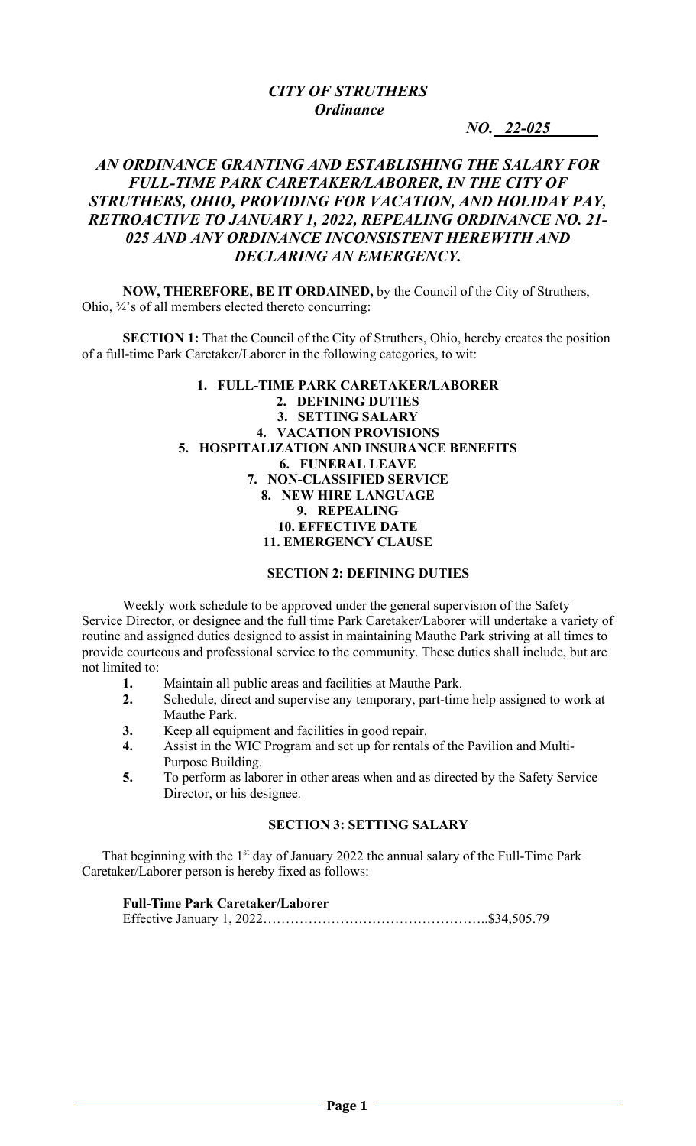*NO.* 22-025

# *AN ORDINANCE GRANTING AND ESTABLISHING THE SALARY FOR FULL-TIME PARK CARETAKER/LABORER, IN THE CITY OF STRUTHERS, OHIO, PROVIDING FOR VACATION, AND HOLIDAY PAY, RETROACTIVE TO JANUARY 1, 2022, REPEALING ORDINANCE NO. 21- 025 AND ANY ORDINANCE INCONSISTENT HEREWITH AND DECLARING AN EMERGENCY.*

**NOW, THEREFORE, BE IT ORDAINED,** by the Council of the City of Struthers, Ohio, ¾'s of all members elected thereto concurring:

**SECTION 1:** That the Council of the City of Struthers, Ohio, hereby creates the position of a full-time Park Caretaker/Laborer in the following categories, to wit:

#### **1. FULL-TIME PARK CARETAKER/LABORER 2. DEFINING DUTIES 3. SETTING SALARY 4. VACATION PROVISIONS 5. HOSPITALIZATION AND INSURANCE BENEFITS 6. FUNERAL LEAVE 7. NON-CLASSIFIED SERVICE 8. NEW HIRE LANGUAGE 9. REPEALING 10. EFFECTIVE DATE 11. EMERGENCY CLAUSE**

#### **SECTION 2: DEFINING DUTIES**

Weekly work schedule to be approved under the general supervision of the Safety Service Director, or designee and the full time Park Caretaker/Laborer will undertake a variety of routine and assigned duties designed to assist in maintaining Mauthe Park striving at all times to provide courteous and professional service to the community. These duties shall include, but are not limited to:

- **1.** Maintain all public areas and facilities at Mauthe Park.
- **2.** Schedule, direct and supervise any temporary, part-time help assigned to work at Mauthe Park.
- **3.** Keep all equipment and facilities in good repair.
- **4.** Assist in the WIC Program and set up for rentals of the Pavilion and Multi-Purpose Building.
- **5.** To perform as laborer in other areas when and as directed by the Safety Service Director, or his designee.

## **SECTION 3: SETTING SALARY**

That beginning with the  $1<sup>st</sup>$  day of January 2022 the annual salary of the Full-Time Park Caretaker/Laborer person is hereby fixed as follows:

# **Full-Time Park Caretaker/Laborer**

|--|--|--|--|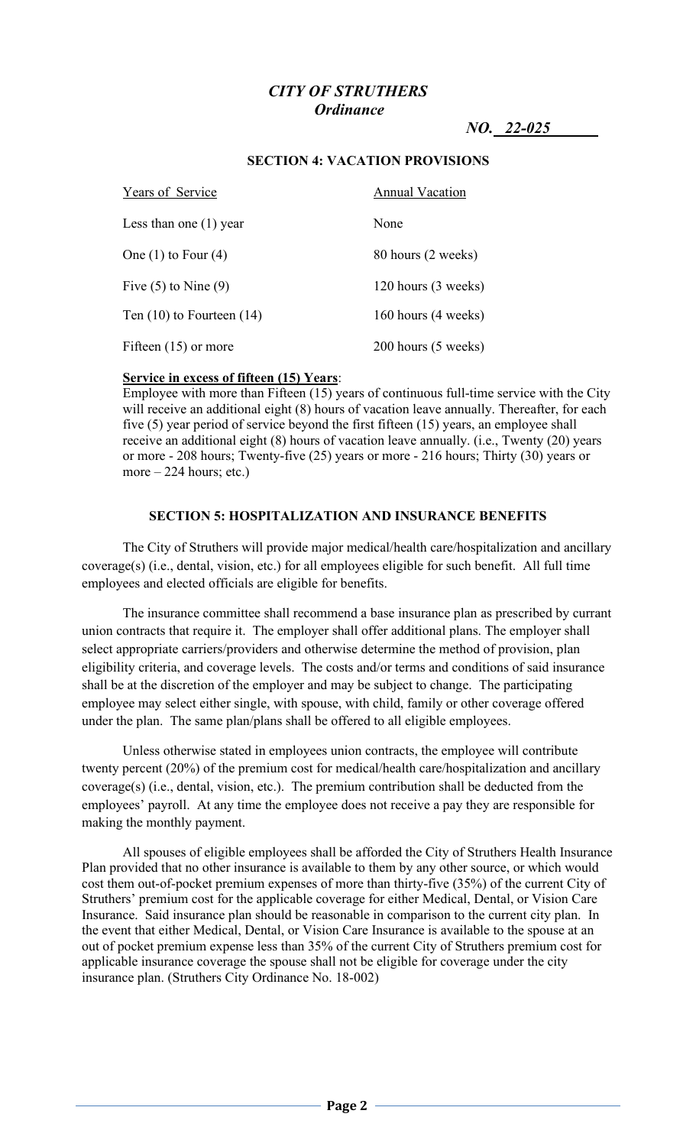*NO.* 22-025

# Years of Service Annual Vacation Less than one (1) year None One  $(1)$  to Four  $(4)$  80 hours  $(2 \text{ weeks})$ Five  $(5)$  to Nine  $(9)$  120 hours  $(3 \text{ weeks})$ Ten (10) to Fourteen (14) 160 hours (4 weeks) Fifteen (15) or more 200 hours (5 weeks)

## **SECTION 4: VACATION PROVISIONS**

# **Service in excess of fifteen (15) Years**:

Employee with more than Fifteen (15) years of continuous full-time service with the City will receive an additional eight (8) hours of vacation leave annually. Thereafter, for each five (5) year period of service beyond the first fifteen (15) years, an employee shall receive an additional eight (8) hours of vacation leave annually. (i.e., Twenty (20) years or more - 208 hours; Twenty-five (25) years or more - 216 hours; Thirty (30) years or more  $-224$  hours; etc.)

## **SECTION 5: HOSPITALIZATION AND INSURANCE BENEFITS**

The City of Struthers will provide major medical/health care/hospitalization and ancillary coverage(s) (i.e., dental, vision, etc.) for all employees eligible for such benefit. All full time employees and elected officials are eligible for benefits.

The insurance committee shall recommend a base insurance plan as prescribed by currant union contracts that require it. The employer shall offer additional plans. The employer shall select appropriate carriers/providers and otherwise determine the method of provision, plan eligibility criteria, and coverage levels. The costs and/or terms and conditions of said insurance shall be at the discretion of the employer and may be subject to change. The participating employee may select either single, with spouse, with child, family or other coverage offered under the plan. The same plan/plans shall be offered to all eligible employees.

Unless otherwise stated in employees union contracts, the employee will contribute twenty percent (20%) of the premium cost for medical/health care/hospitalization and ancillary coverage(s) (i.e., dental, vision, etc.). The premium contribution shall be deducted from the employees' payroll. At any time the employee does not receive a pay they are responsible for making the monthly payment.

All spouses of eligible employees shall be afforded the City of Struthers Health Insurance Plan provided that no other insurance is available to them by any other source, or which would cost them out-of-pocket premium expenses of more than thirty-five (35%) of the current City of Struthers' premium cost for the applicable coverage for either Medical, Dental, or Vision Care Insurance. Said insurance plan should be reasonable in comparison to the current city plan. In the event that either Medical, Dental, or Vision Care Insurance is available to the spouse at an out of pocket premium expense less than 35% of the current City of Struthers premium cost for applicable insurance coverage the spouse shall not be eligible for coverage under the city insurance plan. (Struthers City Ordinance No. 18-002)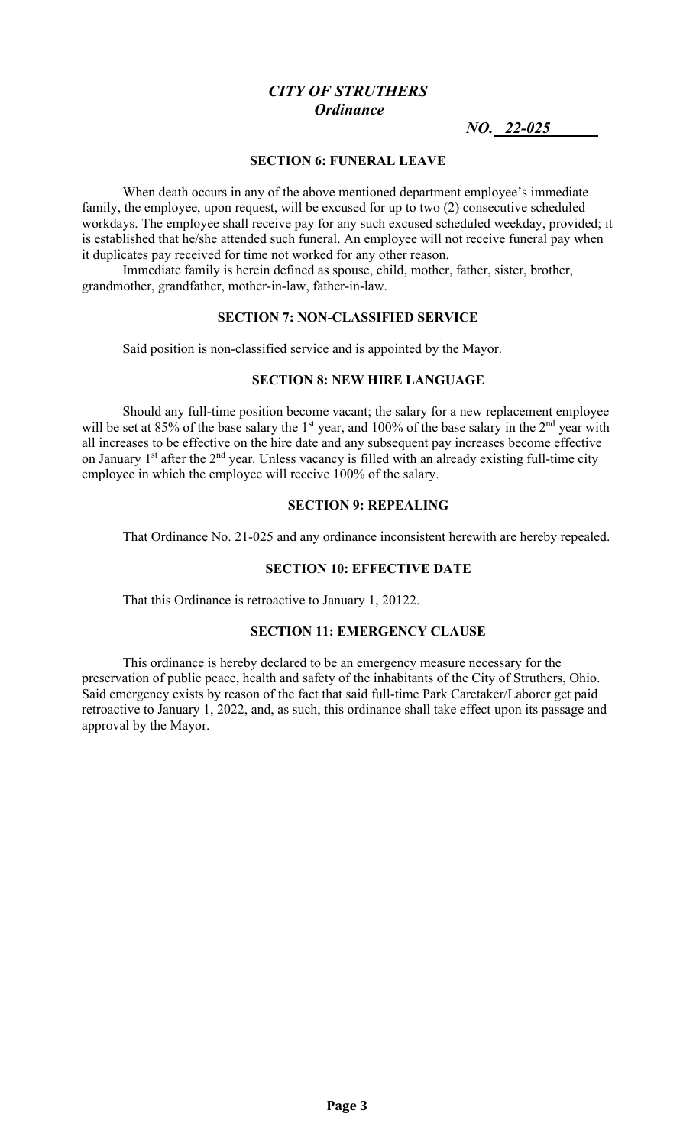*NO.* 22-025

#### **SECTION 6: FUNERAL LEAVE**

 When death occurs in any of the above mentioned department employee's immediate family, the employee, upon request, will be excused for up to two (2) consecutive scheduled workdays. The employee shall receive pay for any such excused scheduled weekday, provided; it is established that he/she attended such funeral. An employee will not receive funeral pay when it duplicates pay received for time not worked for any other reason.

 Immediate family is herein defined as spouse, child, mother, father, sister, brother, grandmother, grandfather, mother-in-law, father-in-law.

#### **SECTION 7: NON-CLASSIFIED SERVICE**

Said position is non-classified service and is appointed by the Mayor.

## **SECTION 8: NEW HIRE LANGUAGE**

Should any full-time position become vacant; the salary for a new replacement employee will be set at 85% of the base salary the 1<sup>st</sup> year, and 100% of the base salary in the 2<sup>nd</sup> year with all increases to be effective on the hire date and any subsequent pay increases become effective on January 1<sup>st</sup> after the 2<sup>nd</sup> year. Unless vacancy is filled with an already existing full-time city employee in which the employee will receive 100% of the salary.

#### **SECTION 9: REPEALING**

That Ordinance No. 21-025 and any ordinance inconsistent herewith are hereby repealed.

#### **SECTION 10: EFFECTIVE DATE**

That this Ordinance is retroactive to January 1, 20122.

## **SECTION 11: EMERGENCY CLAUSE**

This ordinance is hereby declared to be an emergency measure necessary for the preservation of public peace, health and safety of the inhabitants of the City of Struthers, Ohio. Said emergency exists by reason of the fact that said full-time Park Caretaker/Laborer get paid retroactive to January 1, 2022, and, as such, this ordinance shall take effect upon its passage and approval by the Mayor.